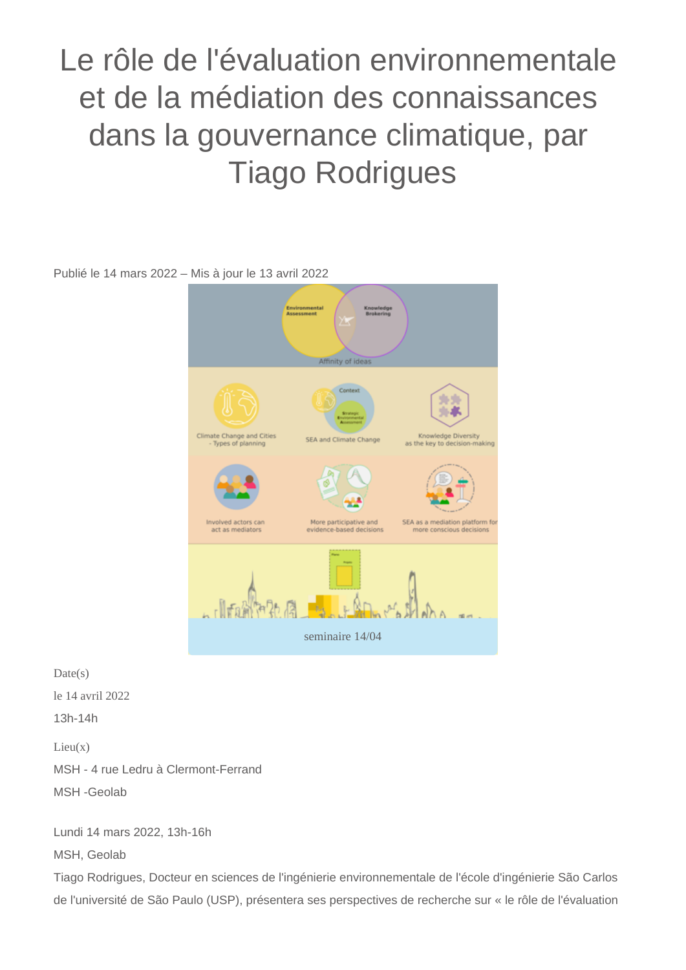Le rôle de l'évaluation environnementale et de la médiation des connaissances dans la gouvernance climatique, par Tiago Rodrigues

Publié le 14 mars 2022 – Mis à jour le 13 avril 2022



 $Date(s)$ le 14 avril 2022 13h-14h  $Lieu(x)$ MSH - 4 rue Ledru à Clermont-Ferrand MSH -Geolab

Lundi 14 mars 2022, 13h-16h

MSH, Geolab

Tiago Rodrigues, Docteur en sciences de l'ingénierie environnementale de l'école d'ingénierie São Carlos de l'université de São Paulo (USP), présentera ses perspectives de recherche sur « le rôle de l'évaluation